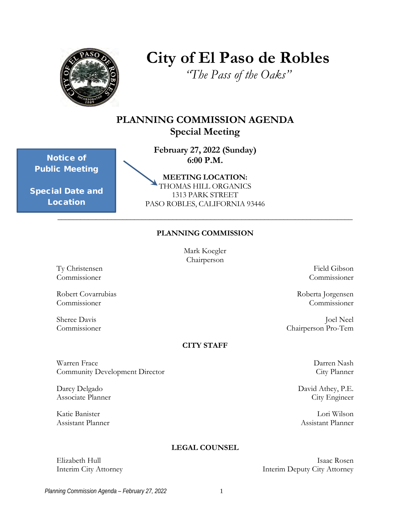

# **City of El Paso de Robles**

*"The Pass of the Oaks"*

## **PLANNING COMMISSION AGENDA Special Meeting**

 **February 27, 2022 (Sunday) 6:00 P.M.**

Notice of Public Meeting

Special Date and Location

**MEETING LOCATION:**  THOMAS HILL ORGANICS 1313 PARK STREET PASO ROBLES, CALIFORNIA 93446

### **PLANNING COMMISSION**

\_\_\_\_\_\_\_\_\_\_\_\_\_\_\_\_\_\_\_\_\_\_\_\_\_\_\_\_\_\_\_\_\_\_\_\_\_\_\_\_\_\_\_\_\_\_\_\_\_\_\_\_\_\_\_\_\_\_\_\_\_\_\_\_\_\_\_\_\_\_\_\_\_\_\_\_\_

Mark Koegler Chairperson

Ty Christensen Field Gibson<br>Commissioner Commissioner

Robert Covarrubias Roberta Jorgensen Commissioner Commissioner

#### **CITY STAFF**

Warren Frace **Darren Nash Executes All and Solution** Darren Nash Darren Nash Darren Nash Darren Nash Darren Nash Community Development Director City Planner

### **LEGAL COUNSEL**

**Commissioner** 

Sheree Davis Joel Neel<br>Commissioner Commissioner (Chairperson Pro-Tem Chairperson Pro-Tem

Darcy Delgado David Athey, P.E. Associate Planner City Engineer

Katie Banister Lori Wilson Assistant Planner Assistant Planner

Elizabeth Hull Isaac Rosen Interim City Attorney Interim Deputy City Attorney